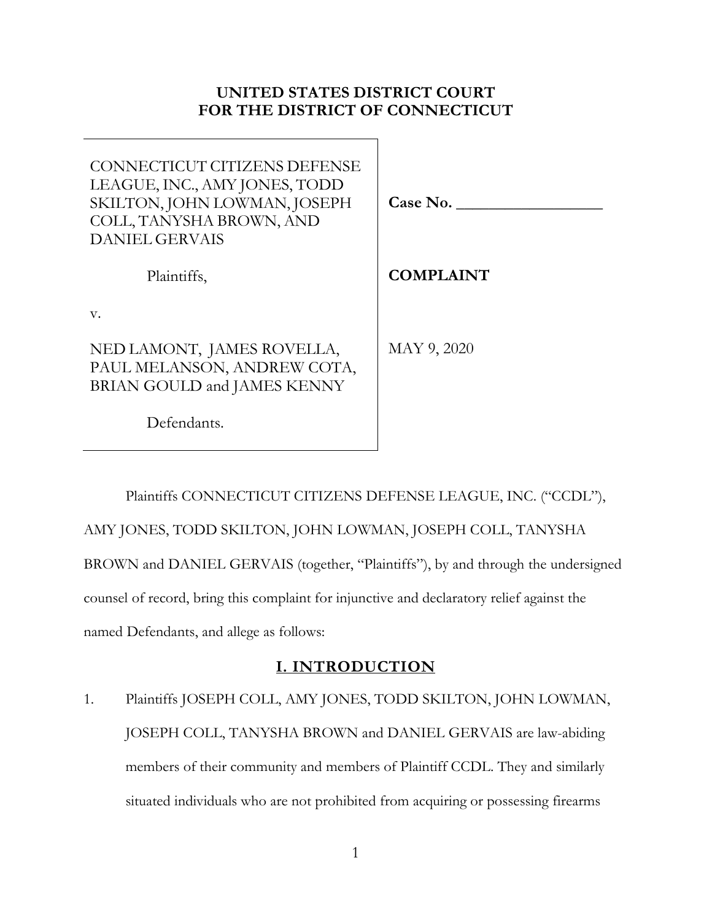# **UNITED STATES DISTRICT COURT FOR THE DISTRICT OF CONNECTICUT**

| CONNECTICUT CITIZENS DEFENSE<br>LEAGUE, INC., AMY JONES, TODD<br>SKILTON, JOHN LOWMAN, JOSEPH<br>COLL, TANYSHA BROWN, AND<br><b>DANIEL GERVAIS</b> | Case No.         |
|----------------------------------------------------------------------------------------------------------------------------------------------------|------------------|
| Plaintiffs,                                                                                                                                        | <b>COMPLAINT</b> |
| V.                                                                                                                                                 |                  |
| NED LAMONT, JAMES ROVELLA,<br>PAUL MELANSON, ANDREW COTA,<br>BRIAN GOULD and JAMES KENNY                                                           | MAY 9, 2020      |
| Defendants.                                                                                                                                        |                  |

Plaintiffs CONNECTICUT CITIZENS DEFENSE LEAGUE, INC. ("CCDL"), AMY JONES, TODD SKILTON, JOHN LOWMAN, JOSEPH COLL, TANYSHA BROWN and DANIEL GERVAIS (together, "Plaintiffs"), by and through the undersigned counsel of record, bring this complaint for injunctive and declaratory relief against the named Defendants, and allege as follows:

# **I. INTRODUCTION**

1. Plaintiffs JOSEPH COLL, AMY JONES, TODD SKILTON, JOHN LOWMAN, JOSEPH COLL, TANYSHA BROWN and DANIEL GERVAIS are law-abiding members of their community and members of Plaintiff CCDL. They and similarly situated individuals who are not prohibited from acquiring or possessing firearms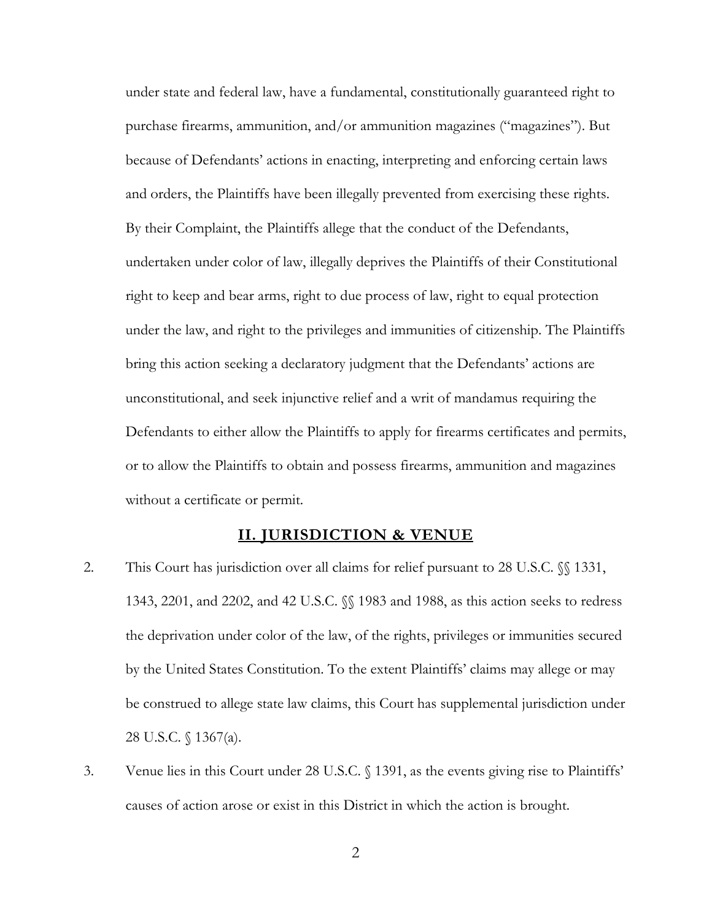under state and federal law, have a fundamental, constitutionally guaranteed right to purchase firearms, ammunition, and/or ammunition magazines ("magazines"). But because of Defendants' actions in enacting, interpreting and enforcing certain laws and orders, the Plaintiffs have been illegally prevented from exercising these rights. By their Complaint, the Plaintiffs allege that the conduct of the Defendants, undertaken under color of law, illegally deprives the Plaintiffs of their Constitutional right to keep and bear arms, right to due process of law, right to equal protection under the law, and right to the privileges and immunities of citizenship. The Plaintiffs bring this action seeking a declaratory judgment that the Defendants' actions are unconstitutional, and seek injunctive relief and a writ of mandamus requiring the Defendants to either allow the Plaintiffs to apply for firearms certificates and permits, or to allow the Plaintiffs to obtain and possess firearms, ammunition and magazines without a certificate or permit.

### **II. JURISDICTION & VENUE**

- 2. This Court has jurisdiction over all claims for relief pursuant to 28 U.S.C.  $\%$  1331, 1343, 2201, and 2202, and 42 U.S.C. §§ 1983 and 1988, as this action seeks to redress the deprivation under color of the law, of the rights, privileges or immunities secured by the United States Constitution. To the extent Plaintiffs' claims may allege or may be construed to allege state law claims, this Court has supplemental jurisdiction under 28 U.S.C. § 1367(a).
- 3. Venue lies in this Court under 28 U.S.C. § 1391, as the events giving rise to Plaintiffs' causes of action arose or exist in this District in which the action is brought.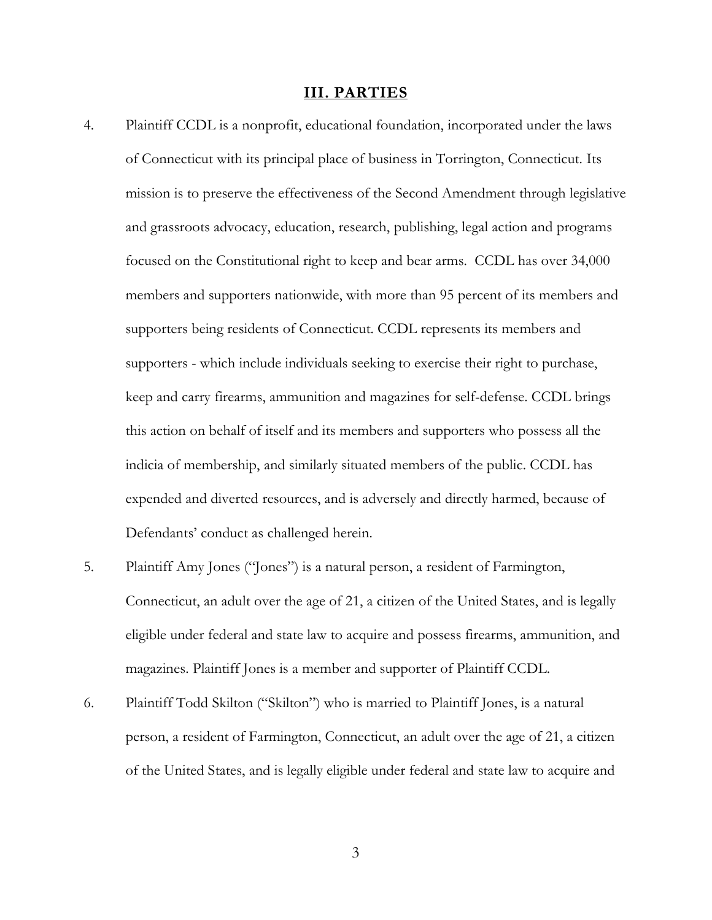#### **III. PARTIES**

- 4. Plaintiff CCDL is a nonprofit, educational foundation, incorporated under the laws of Connecticut with its principal place of business in Torrington, Connecticut. Its mission is to preserve the effectiveness of the Second Amendment through legislative and grassroots advocacy, education, research, publishing, legal action and programs focused on the Constitutional right to keep and bear arms. CCDL has over 34,000 members and supporters nationwide, with more than 95 percent of its members and supporters being residents of Connecticut. CCDL represents its members and supporters - which include individuals seeking to exercise their right to purchase, keep and carry firearms, ammunition and magazines for self-defense. CCDL brings this action on behalf of itself and its members and supporters who possess all the indicia of membership, and similarly situated members of the public. CCDL has expended and diverted resources, and is adversely and directly harmed, because of Defendants' conduct as challenged herein.
- 5. Plaintiff Amy Jones ("Jones") is a natural person, a resident of Farmington, Connecticut, an adult over the age of 21, a citizen of the United States, and is legally eligible under federal and state law to acquire and possess firearms, ammunition, and magazines. Plaintiff Jones is a member and supporter of Plaintiff CCDL.
- 6. Plaintiff Todd Skilton ("Skilton") who is married to Plaintiff Jones, is a natural person, a resident of Farmington, Connecticut, an adult over the age of 21, a citizen of the United States, and is legally eligible under federal and state law to acquire and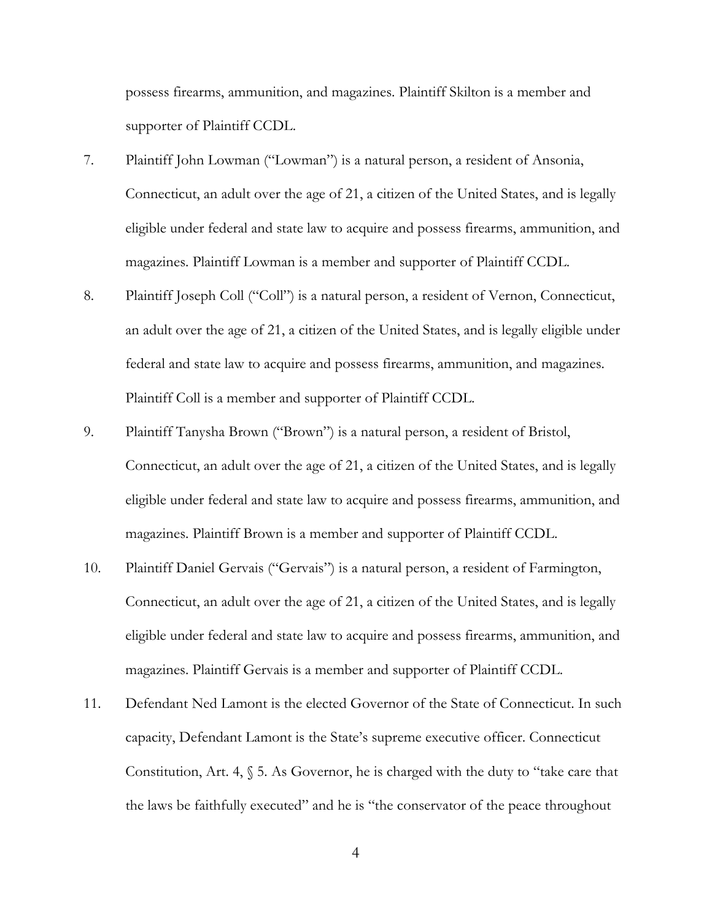possess firearms, ammunition, and magazines. Plaintiff Skilton is a member and supporter of Plaintiff CCDL.

- 7. Plaintiff John Lowman ("Lowman") is a natural person, a resident of Ansonia, Connecticut, an adult over the age of 21, a citizen of the United States, and is legally eligible under federal and state law to acquire and possess firearms, ammunition, and magazines. Plaintiff Lowman is a member and supporter of Plaintiff CCDL.
- 8. Plaintiff Joseph Coll ("Coll") is a natural person, a resident of Vernon, Connecticut, an adult over the age of 21, a citizen of the United States, and is legally eligible under federal and state law to acquire and possess firearms, ammunition, and magazines. Plaintiff Coll is a member and supporter of Plaintiff CCDL.
- 9. Plaintiff Tanysha Brown ("Brown") is a natural person, a resident of Bristol, Connecticut, an adult over the age of 21, a citizen of the United States, and is legally eligible under federal and state law to acquire and possess firearms, ammunition, and magazines. Plaintiff Brown is a member and supporter of Plaintiff CCDL.
- 10. Plaintiff Daniel Gervais ("Gervais") is a natural person, a resident of Farmington, Connecticut, an adult over the age of 21, a citizen of the United States, and is legally eligible under federal and state law to acquire and possess firearms, ammunition, and magazines. Plaintiff Gervais is a member and supporter of Plaintiff CCDL.
- 11. Defendant Ned Lamont is the elected Governor of the State of Connecticut. In such capacity, Defendant Lamont is the State's supreme executive officer. Connecticut Constitution, Art. 4, § 5. As Governor, he is charged with the duty to "take care that the laws be faithfully executed" and he is "the conservator of the peace throughout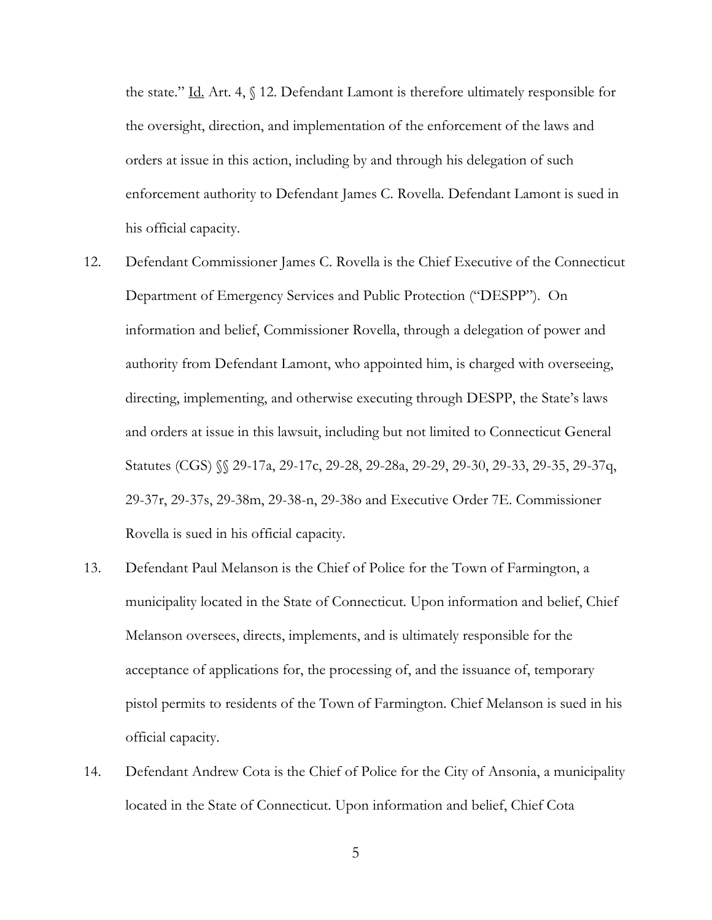the state." Id. Art. 4, § 12. Defendant Lamont is therefore ultimately responsible for the oversight, direction, and implementation of the enforcement of the laws and orders at issue in this action, including by and through his delegation of such enforcement authority to Defendant James C. Rovella. Defendant Lamont is sued in his official capacity.

- 12. Defendant Commissioner James C. Rovella is the Chief Executive of the Connecticut Department of Emergency Services and Public Protection ("DESPP"). On information and belief, Commissioner Rovella, through a delegation of power and authority from Defendant Lamont, who appointed him, is charged with overseeing, directing, implementing, and otherwise executing through DESPP, the State's laws and orders at issue in this lawsuit, including but not limited to Connecticut General Statutes (CGS) §§ 29-17a, 29-17c, 29-28, 29-28a, 29-29, 29-30, 29-33, 29-35, 29-37q, 29-37r, 29-37s, 29-38m, 29-38-n, 29-38o and Executive Order 7E. Commissioner Rovella is sued in his official capacity.
- 13. Defendant Paul Melanson is the Chief of Police for the Town of Farmington, a municipality located in the State of Connecticut. Upon information and belief, Chief Melanson oversees, directs, implements, and is ultimately responsible for the acceptance of applications for, the processing of, and the issuance of, temporary pistol permits to residents of the Town of Farmington. Chief Melanson is sued in his official capacity.
- 14. Defendant Andrew Cota is the Chief of Police for the City of Ansonia, a municipality located in the State of Connecticut. Upon information and belief, Chief Cota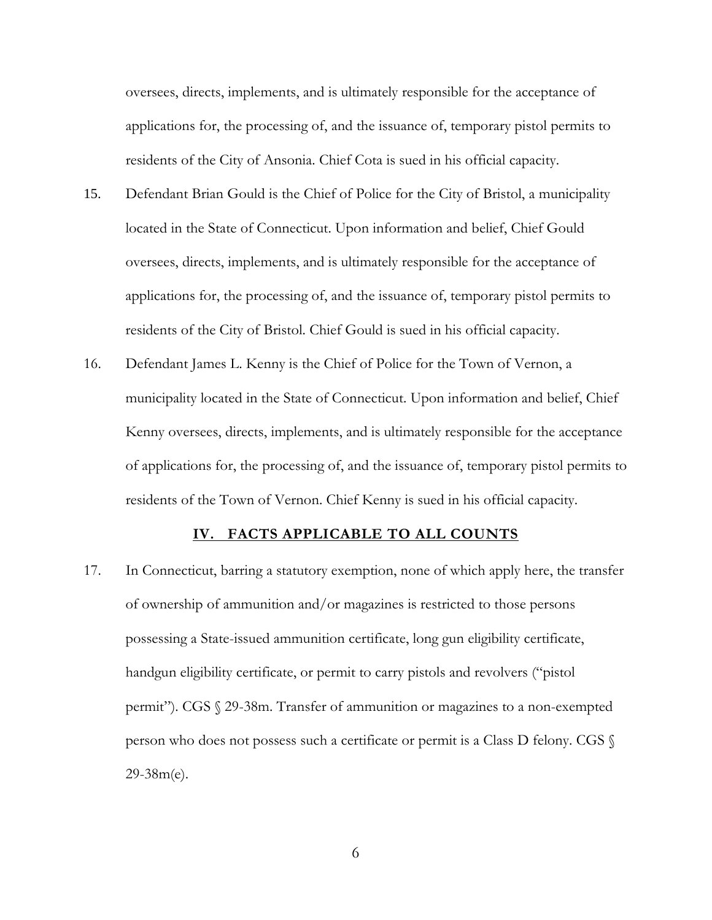oversees, directs, implements, and is ultimately responsible for the acceptance of applications for, the processing of, and the issuance of, temporary pistol permits to residents of the City of Ansonia. Chief Cota is sued in his official capacity.

- 15. Defendant Brian Gould is the Chief of Police for the City of Bristol, a municipality located in the State of Connecticut. Upon information and belief, Chief Gould oversees, directs, implements, and is ultimately responsible for the acceptance of applications for, the processing of, and the issuance of, temporary pistol permits to residents of the City of Bristol. Chief Gould is sued in his official capacity.
- 16. Defendant James L. Kenny is the Chief of Police for the Town of Vernon, a municipality located in the State of Connecticut. Upon information and belief, Chief Kenny oversees, directs, implements, and is ultimately responsible for the acceptance of applications for, the processing of, and the issuance of, temporary pistol permits to residents of the Town of Vernon. Chief Kenny is sued in his official capacity.

#### **IV. FACTS APPLICABLE TO ALL COUNTS**

17. In Connecticut, barring a statutory exemption, none of which apply here, the transfer of ownership of ammunition and/or magazines is restricted to those persons possessing a State-issued ammunition certificate, long gun eligibility certificate, handgun eligibility certificate, or permit to carry pistols and revolvers ("pistol permit"). CGS § 29-38m. Transfer of ammunition or magazines to a non-exempted person who does not possess such a certificate or permit is a Class D felony. CGS § 29-38m(e).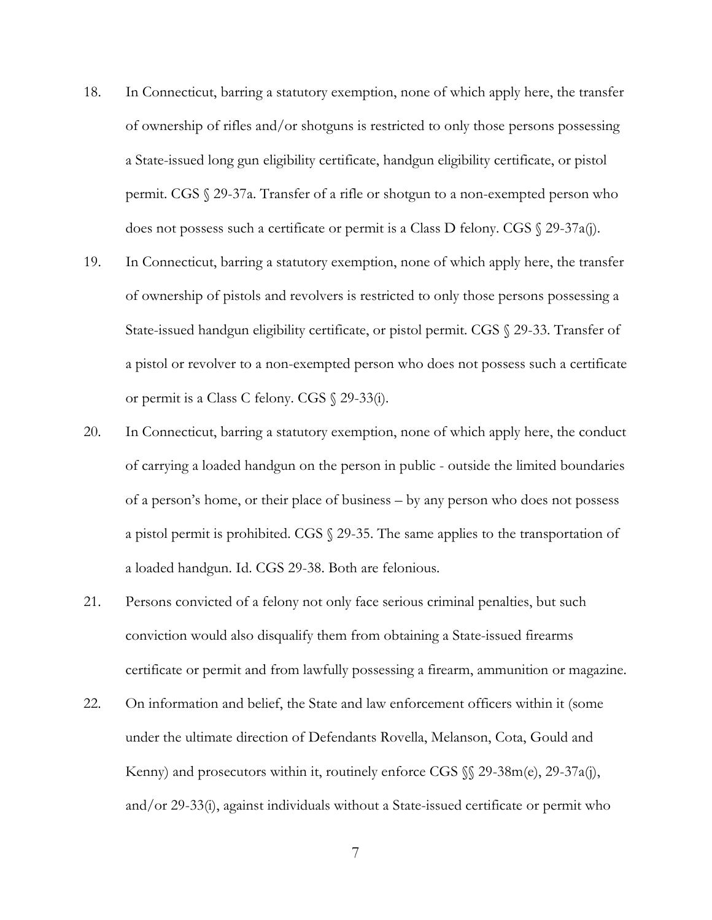- 18. In Connecticut, barring a statutory exemption, none of which apply here, the transfer of ownership of rifles and/or shotguns is restricted to only those persons possessing a State-issued long gun eligibility certificate, handgun eligibility certificate, or pistol permit. CGS § 29-37a. Transfer of a rifle or shotgun to a non-exempted person who does not possess such a certificate or permit is a Class D felony. CGS  $\Diamond$  29-37a(j).
- 19. In Connecticut, barring a statutory exemption, none of which apply here, the transfer of ownership of pistols and revolvers is restricted to only those persons possessing a State-issued handgun eligibility certificate, or pistol permit. CGS § 29-33. Transfer of a pistol or revolver to a non-exempted person who does not possess such a certificate or permit is a Class C felony. CGS § 29-33(i).
- 20. In Connecticut, barring a statutory exemption, none of which apply here, the conduct of carrying a loaded handgun on the person in public - outside the limited boundaries of a person's home, or their place of business – by any person who does not possess a pistol permit is prohibited. CGS § 29-35. The same applies to the transportation of a loaded handgun. Id. CGS 29-38. Both are felonious.
- 21. Persons convicted of a felony not only face serious criminal penalties, but such conviction would also disqualify them from obtaining a State-issued firearms certificate or permit and from lawfully possessing a firearm, ammunition or magazine.
- 22. On information and belief, the State and law enforcement officers within it (some under the ultimate direction of Defendants Rovella, Melanson, Cota, Gould and Kenny) and prosecutors within it, routinely enforce CGS  $\%$  29-38m(e), 29-37a(j), and/or 29-33(i), against individuals without a State-issued certificate or permit who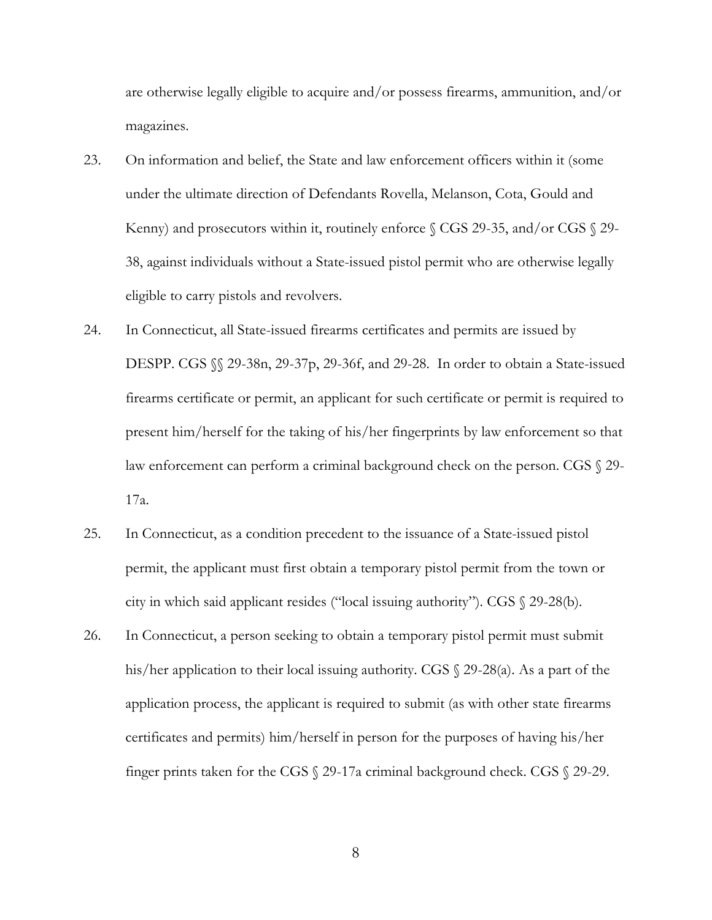are otherwise legally eligible to acquire and/or possess firearms, ammunition, and/or magazines.

- 23. On information and belief, the State and law enforcement officers within it (some under the ultimate direction of Defendants Rovella, Melanson, Cota, Gould and Kenny) and prosecutors within it, routinely enforce § CGS 29-35, and/or CGS § 29- 38, against individuals without a State-issued pistol permit who are otherwise legally eligible to carry pistols and revolvers.
- 24. In Connecticut, all State-issued firearms certificates and permits are issued by DESPP. CGS §§ 29-38n, 29-37p, 29-36f, and 29-28. In order to obtain a State-issued firearms certificate or permit, an applicant for such certificate or permit is required to present him/herself for the taking of his/her fingerprints by law enforcement so that law enforcement can perform a criminal background check on the person. CGS  $\S$  29-17a.
- 25. In Connecticut, as a condition precedent to the issuance of a State-issued pistol permit, the applicant must first obtain a temporary pistol permit from the town or city in which said applicant resides ("local issuing authority"). CGS § 29-28(b).
- 26. In Connecticut, a person seeking to obtain a temporary pistol permit must submit his/her application to their local issuing authority. CGS § 29-28(a). As a part of the application process, the applicant is required to submit (as with other state firearms certificates and permits) him/herself in person for the purposes of having his/her finger prints taken for the CGS § 29-17a criminal background check. CGS § 29-29.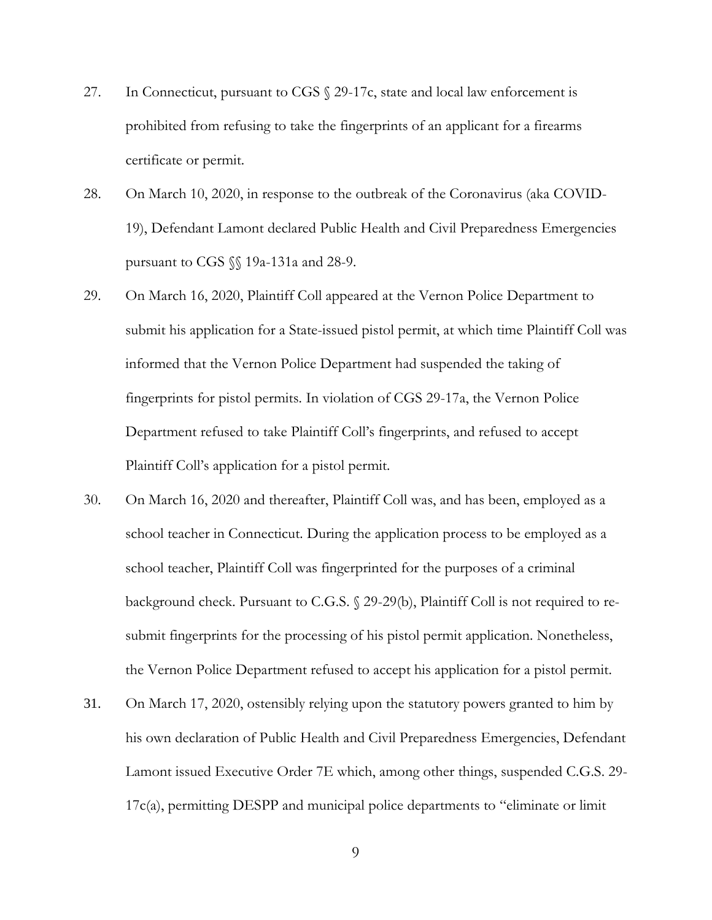- 27. In Connecticut, pursuant to CGS § 29-17c, state and local law enforcement is prohibited from refusing to take the fingerprints of an applicant for a firearms certificate or permit.
- 28. On March 10, 2020, in response to the outbreak of the Coronavirus (aka COVID-19), Defendant Lamont declared Public Health and Civil Preparedness Emergencies pursuant to CGS §§ 19a-131a and 28-9.
- 29. On March 16, 2020, Plaintiff Coll appeared at the Vernon Police Department to submit his application for a State-issued pistol permit, at which time Plaintiff Coll was informed that the Vernon Police Department had suspended the taking of fingerprints for pistol permits. In violation of CGS 29-17a, the Vernon Police Department refused to take Plaintiff Coll's fingerprints, and refused to accept Plaintiff Coll's application for a pistol permit.
- 30. On March 16, 2020 and thereafter, Plaintiff Coll was, and has been, employed as a school teacher in Connecticut. During the application process to be employed as a school teacher, Plaintiff Coll was fingerprinted for the purposes of a criminal background check. Pursuant to C.G.S. § 29-29(b), Plaintiff Coll is not required to resubmit fingerprints for the processing of his pistol permit application. Nonetheless, the Vernon Police Department refused to accept his application for a pistol permit.
- 31. On March 17, 2020, ostensibly relying upon the statutory powers granted to him by his own declaration of Public Health and Civil Preparedness Emergencies, Defendant Lamont issued Executive Order 7E which, among other things, suspended C.G.S. 29- 17c(a), permitting DESPP and municipal police departments to "eliminate or limit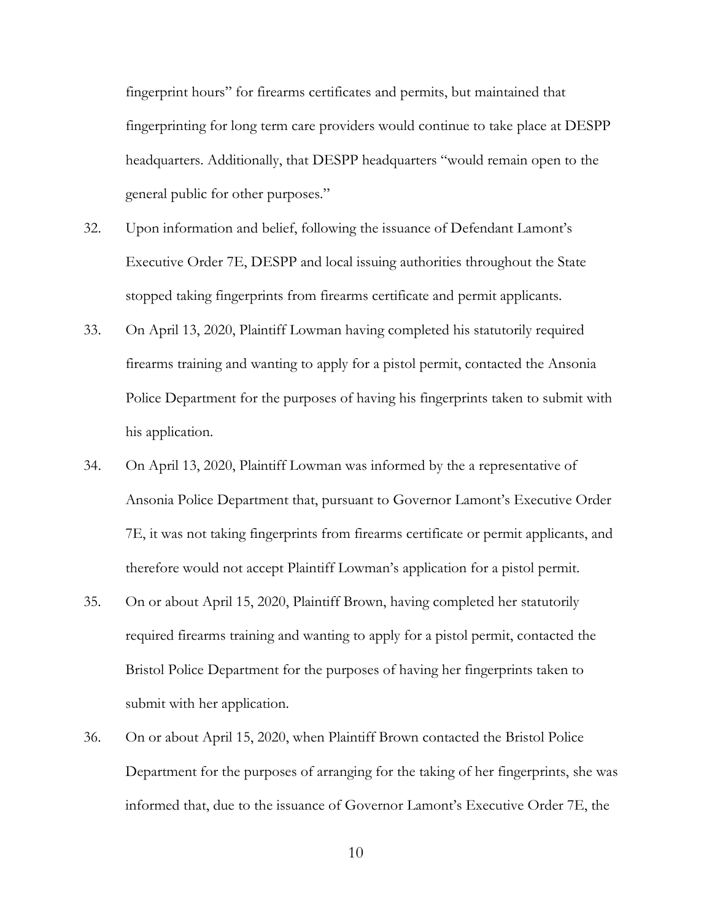fingerprint hours" for firearms certificates and permits, but maintained that fingerprinting for long term care providers would continue to take place at DESPP headquarters. Additionally, that DESPP headquarters "would remain open to the general public for other purposes."

- 32. Upon information and belief, following the issuance of Defendant Lamont's Executive Order 7E, DESPP and local issuing authorities throughout the State stopped taking fingerprints from firearms certificate and permit applicants.
- 33. On April 13, 2020, Plaintiff Lowman having completed his statutorily required firearms training and wanting to apply for a pistol permit, contacted the Ansonia Police Department for the purposes of having his fingerprints taken to submit with his application.
- 34. On April 13, 2020, Plaintiff Lowman was informed by the a representative of Ansonia Police Department that, pursuant to Governor Lamont's Executive Order 7E, it was not taking fingerprints from firearms certificate or permit applicants, and therefore would not accept Plaintiff Lowman's application for a pistol permit.
- 35. On or about April 15, 2020, Plaintiff Brown, having completed her statutorily required firearms training and wanting to apply for a pistol permit, contacted the Bristol Police Department for the purposes of having her fingerprints taken to submit with her application.
- 36. On or about April 15, 2020, when Plaintiff Brown contacted the Bristol Police Department for the purposes of arranging for the taking of her fingerprints, she was informed that, due to the issuance of Governor Lamont's Executive Order 7E, the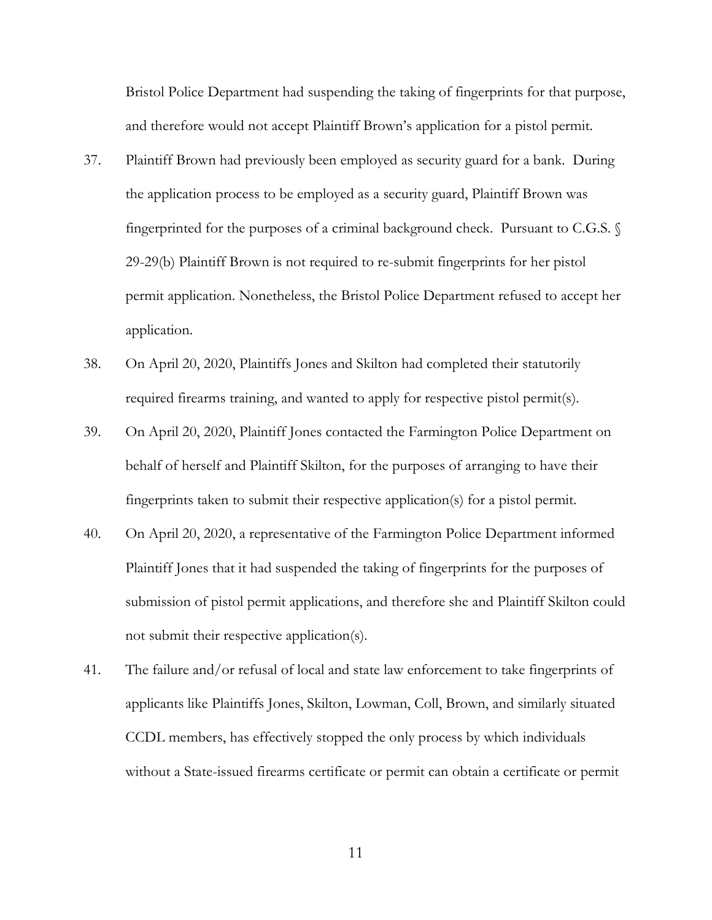Bristol Police Department had suspending the taking of fingerprints for that purpose, and therefore would not accept Plaintiff Brown's application for a pistol permit.

- 37. Plaintiff Brown had previously been employed as security guard for a bank. During the application process to be employed as a security guard, Plaintiff Brown was fingerprinted for the purposes of a criminal background check. Pursuant to C.G.S. § 29-29(b) Plaintiff Brown is not required to re-submit fingerprints for her pistol permit application. Nonetheless, the Bristol Police Department refused to accept her application.
- 38. On April 20, 2020, Plaintiffs Jones and Skilton had completed their statutorily required firearms training, and wanted to apply for respective pistol permit(s).
- 39. On April 20, 2020, Plaintiff Jones contacted the Farmington Police Department on behalf of herself and Plaintiff Skilton, for the purposes of arranging to have their fingerprints taken to submit their respective application(s) for a pistol permit.
- 40. On April 20, 2020, a representative of the Farmington Police Department informed Plaintiff Jones that it had suspended the taking of fingerprints for the purposes of submission of pistol permit applications, and therefore she and Plaintiff Skilton could not submit their respective application(s).
- 41. The failure and/or refusal of local and state law enforcement to take fingerprints of applicants like Plaintiffs Jones, Skilton, Lowman, Coll, Brown, and similarly situated CCDL members, has effectively stopped the only process by which individuals without a State-issued firearms certificate or permit can obtain a certificate or permit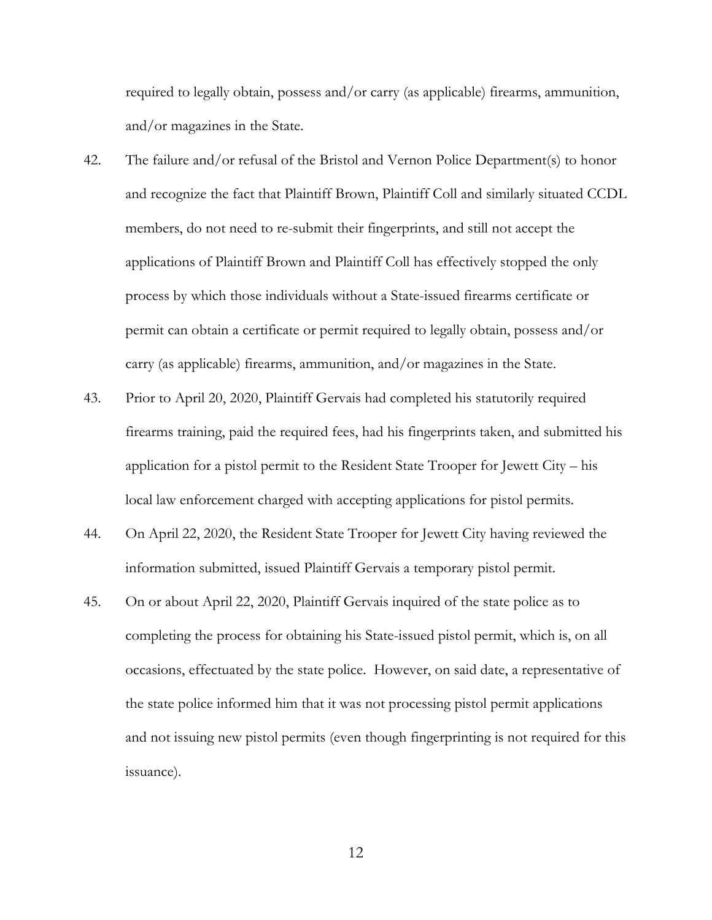required to legally obtain, possess and/or carry (as applicable) firearms, ammunition, and/or magazines in the State.

- 42. The failure and/or refusal of the Bristol and Vernon Police Department(s) to honor and recognize the fact that Plaintiff Brown, Plaintiff Coll and similarly situated CCDL members, do not need to re-submit their fingerprints, and still not accept the applications of Plaintiff Brown and Plaintiff Coll has effectively stopped the only process by which those individuals without a State-issued firearms certificate or permit can obtain a certificate or permit required to legally obtain, possess and/or carry (as applicable) firearms, ammunition, and/or magazines in the State.
- 43. Prior to April 20, 2020, Plaintiff Gervais had completed his statutorily required firearms training, paid the required fees, had his fingerprints taken, and submitted his application for a pistol permit to the Resident State Trooper for Jewett City – his local law enforcement charged with accepting applications for pistol permits.
- 44. On April 22, 2020, the Resident State Trooper for Jewett City having reviewed the information submitted, issued Plaintiff Gervais a temporary pistol permit.
- 45. On or about April 22, 2020, Plaintiff Gervais inquired of the state police as to completing the process for obtaining his State-issued pistol permit, which is, on all occasions, effectuated by the state police. However, on said date, a representative of the state police informed him that it was not processing pistol permit applications and not issuing new pistol permits (even though fingerprinting is not required for this issuance).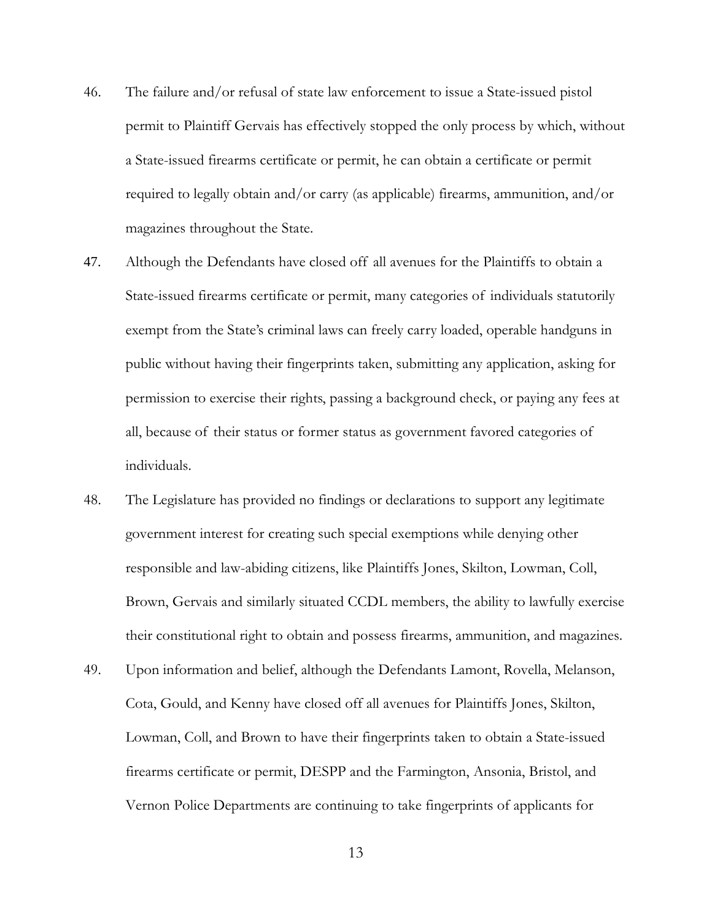- 46. The failure and/or refusal of state law enforcement to issue a State-issued pistol permit to Plaintiff Gervais has effectively stopped the only process by which, without a State-issued firearms certificate or permit, he can obtain a certificate or permit required to legally obtain and/or carry (as applicable) firearms, ammunition, and/or magazines throughout the State.
- 47. Although the Defendants have closed off all avenues for the Plaintiffs to obtain a State-issued firearms certificate or permit, many categories of individuals statutorily exempt from the State's criminal laws can freely carry loaded, operable handguns in public without having their fingerprints taken, submitting any application, asking for permission to exercise their rights, passing a background check, or paying any fees at all, because of their status or former status as government favored categories of individuals.
- 48. The Legislature has provided no findings or declarations to support any legitimate government interest for creating such special exemptions while denying other responsible and law-abiding citizens, like Plaintiffs Jones, Skilton, Lowman, Coll, Brown, Gervais and similarly situated CCDL members, the ability to lawfully exercise their constitutional right to obtain and possess firearms, ammunition, and magazines.
- 49. Upon information and belief, although the Defendants Lamont, Rovella, Melanson, Cota, Gould, and Kenny have closed off all avenues for Plaintiffs Jones, Skilton, Lowman, Coll, and Brown to have their fingerprints taken to obtain a State-issued firearms certificate or permit, DESPP and the Farmington, Ansonia, Bristol, and Vernon Police Departments are continuing to take fingerprints of applicants for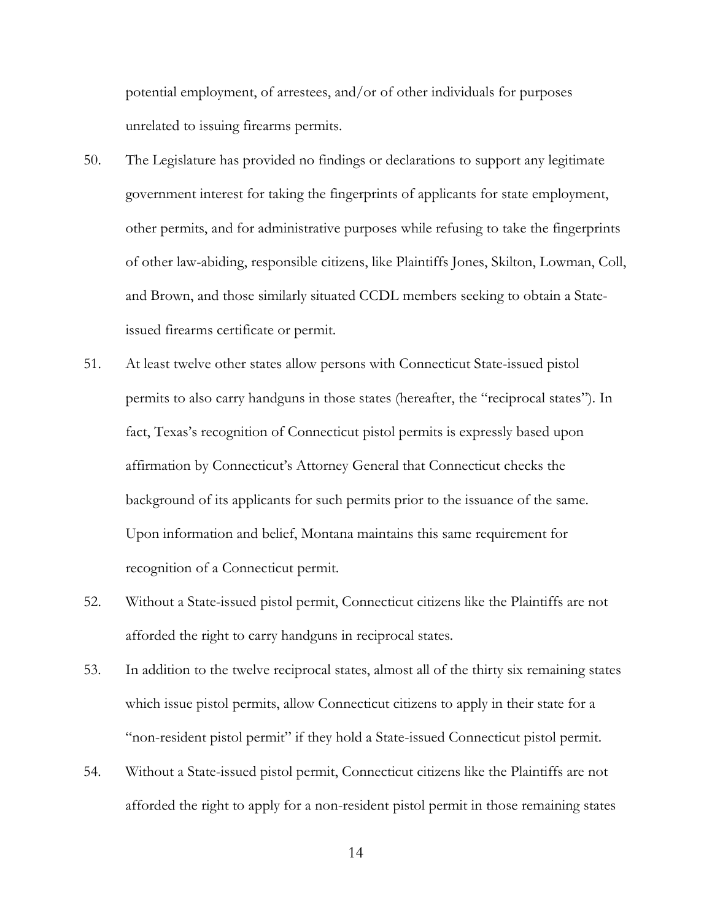potential employment, of arrestees, and/or of other individuals for purposes unrelated to issuing firearms permits.

- 50. The Legislature has provided no findings or declarations to support any legitimate government interest for taking the fingerprints of applicants for state employment, other permits, and for administrative purposes while refusing to take the fingerprints of other law-abiding, responsible citizens, like Plaintiffs Jones, Skilton, Lowman, Coll, and Brown, and those similarly situated CCDL members seeking to obtain a Stateissued firearms certificate or permit.
- 51. At least twelve other states allow persons with Connecticut State-issued pistol permits to also carry handguns in those states (hereafter, the "reciprocal states"). In fact, Texas's recognition of Connecticut pistol permits is expressly based upon affirmation by Connecticut's Attorney General that Connecticut checks the background of its applicants for such permits prior to the issuance of the same. Upon information and belief, Montana maintains this same requirement for recognition of a Connecticut permit.
- 52. Without a State-issued pistol permit, Connecticut citizens like the Plaintiffs are not afforded the right to carry handguns in reciprocal states.
- 53. In addition to the twelve reciprocal states, almost all of the thirty six remaining states which issue pistol permits, allow Connecticut citizens to apply in their state for a "non-resident pistol permit" if they hold a State-issued Connecticut pistol permit.
- 54. Without a State-issued pistol permit, Connecticut citizens like the Plaintiffs are not afforded the right to apply for a non-resident pistol permit in those remaining states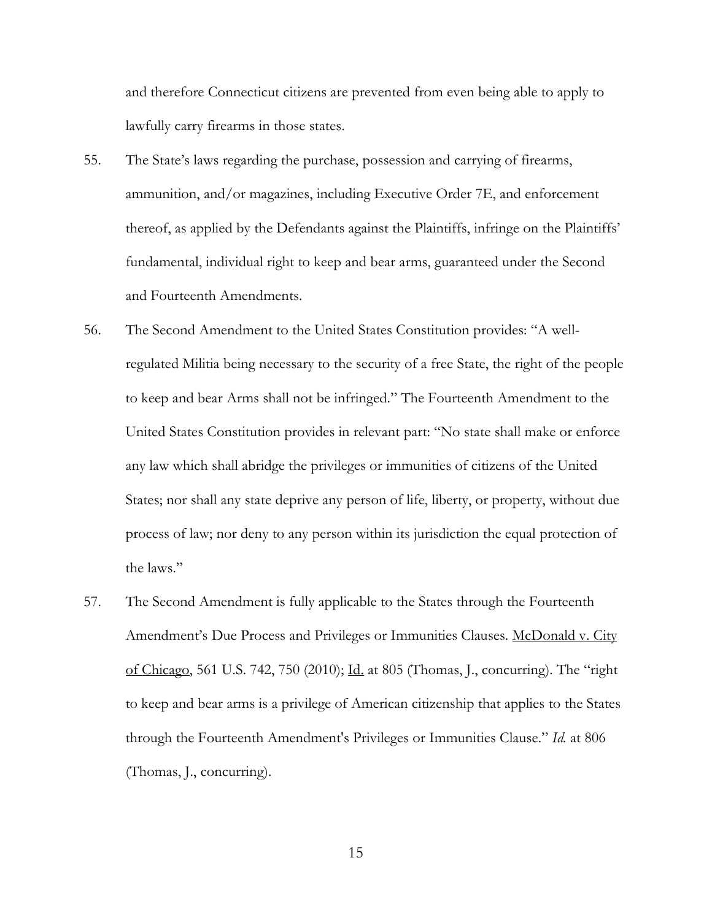and therefore Connecticut citizens are prevented from even being able to apply to lawfully carry firearms in those states.

- 55. The State's laws regarding the purchase, possession and carrying of firearms, ammunition, and/or magazines, including Executive Order 7E, and enforcement thereof, as applied by the Defendants against the Plaintiffs, infringe on the Plaintiffs' fundamental, individual right to keep and bear arms, guaranteed under the Second and Fourteenth Amendments.
- 56. The Second Amendment to the United States Constitution provides: "A wellregulated Militia being necessary to the security of a free State, the right of the people to keep and bear Arms shall not be infringed." The Fourteenth Amendment to the United States Constitution provides in relevant part: "No state shall make or enforce any law which shall abridge the privileges or immunities of citizens of the United States; nor shall any state deprive any person of life, liberty, or property, without due process of law; nor deny to any person within its jurisdiction the equal protection of the laws."
- 57. The Second Amendment is fully applicable to the States through the Fourteenth Amendment's Due Process and Privileges or Immunities Clauses. McDonald v. City of Chicago, 561 U.S. 742, 750 (2010); Id. at 805 (Thomas, J., concurring). The "right to keep and bear arms is a privilege of American citizenship that applies to the States through the Fourteenth Amendment's Privileges or Immunities Clause." *Id.* at 806 (Thomas, J., concurring).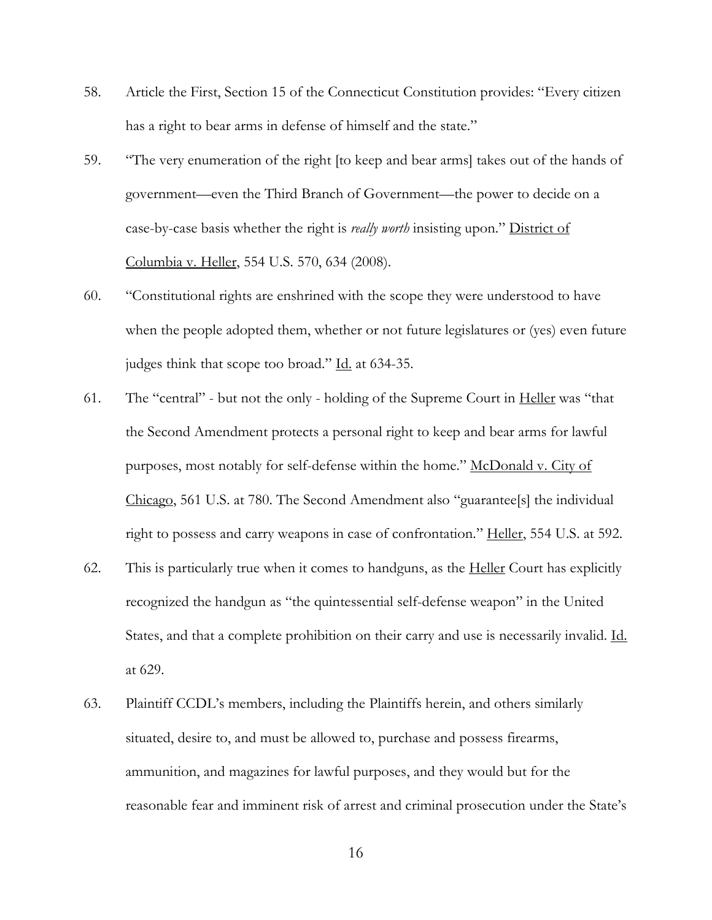- 58. Article the First, Section 15 of the Connecticut Constitution provides: "Every citizen has a right to bear arms in defense of himself and the state."
- 59. "The very enumeration of the right [to keep and bear arms] takes out of the hands of government—even the Third Branch of Government—the power to decide on a case-by-case basis whether the right is *really worth* insisting upon." District of Columbia v. Heller, 554 U.S. 570, 634 (2008).
- 60. "Constitutional rights are enshrined with the scope they were understood to have when the people adopted them, whether or not future legislatures or (yes) even future judges think that scope too broad." Id. at 634-35.
- 61. The "central" but not the only holding of the Supreme Court in Heller was "that the Second Amendment protects a personal right to keep and bear arms for lawful purposes, most notably for self-defense within the home." McDonald v. City of Chicago, 561 U.S. at 780. The Second Amendment also "guarantee[s] the individual right to possess and carry weapons in case of confrontation." Heller, 554 U.S. at 592.
- 62. This is particularly true when it comes to handguns, as the Heller Court has explicitly recognized the handgun as "the quintessential self-defense weapon" in the United States, and that a complete prohibition on their carry and use is necessarily invalid. Id. at 629.
- 63. Plaintiff CCDL's members, including the Plaintiffs herein, and others similarly situated, desire to, and must be allowed to, purchase and possess firearms, ammunition, and magazines for lawful purposes, and they would but for the reasonable fear and imminent risk of arrest and criminal prosecution under the State's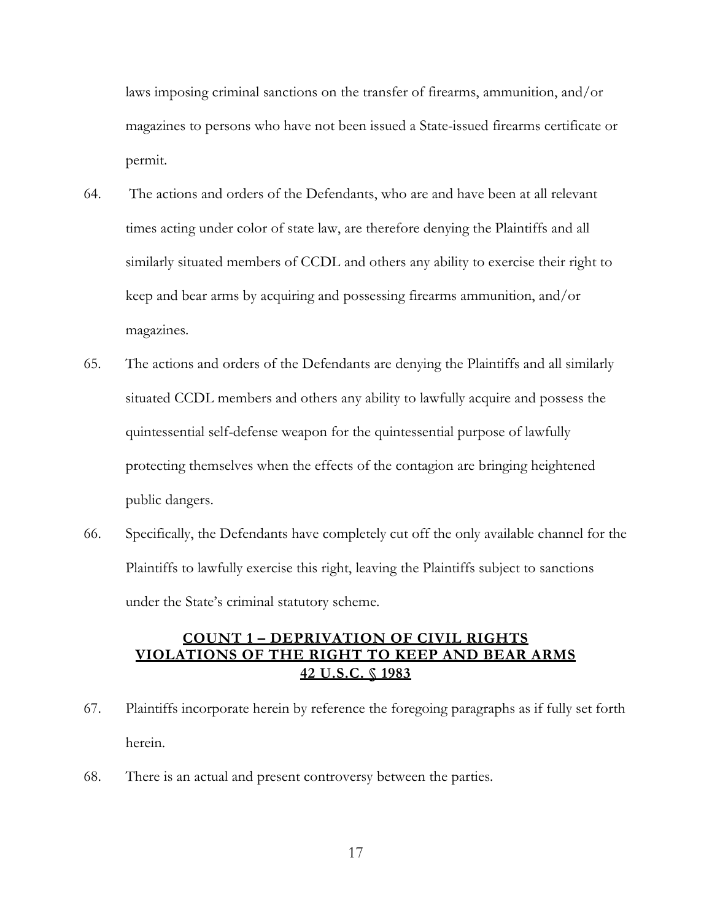laws imposing criminal sanctions on the transfer of firearms, ammunition, and/or magazines to persons who have not been issued a State-issued firearms certificate or permit.

- 64. The actions and orders of the Defendants, who are and have been at all relevant times acting under color of state law, are therefore denying the Plaintiffs and all similarly situated members of CCDL and others any ability to exercise their right to keep and bear arms by acquiring and possessing firearms ammunition, and/or magazines.
- 65. The actions and orders of the Defendants are denying the Plaintiffs and all similarly situated CCDL members and others any ability to lawfully acquire and possess the quintessential self-defense weapon for the quintessential purpose of lawfully protecting themselves when the effects of the contagion are bringing heightened public dangers.
- 66. Specifically, the Defendants have completely cut off the only available channel for the Plaintiffs to lawfully exercise this right, leaving the Plaintiffs subject to sanctions under the State's criminal statutory scheme.

## **COUNT 1 – DEPRIVATION OF CIVIL RIGHTS VIOLATIONS OF THE RIGHT TO KEEP AND BEAR ARMS 42 U.S.C. § 1983**

- 67. Plaintiffs incorporate herein by reference the foregoing paragraphs as if fully set forth herein.
- 68. There is an actual and present controversy between the parties.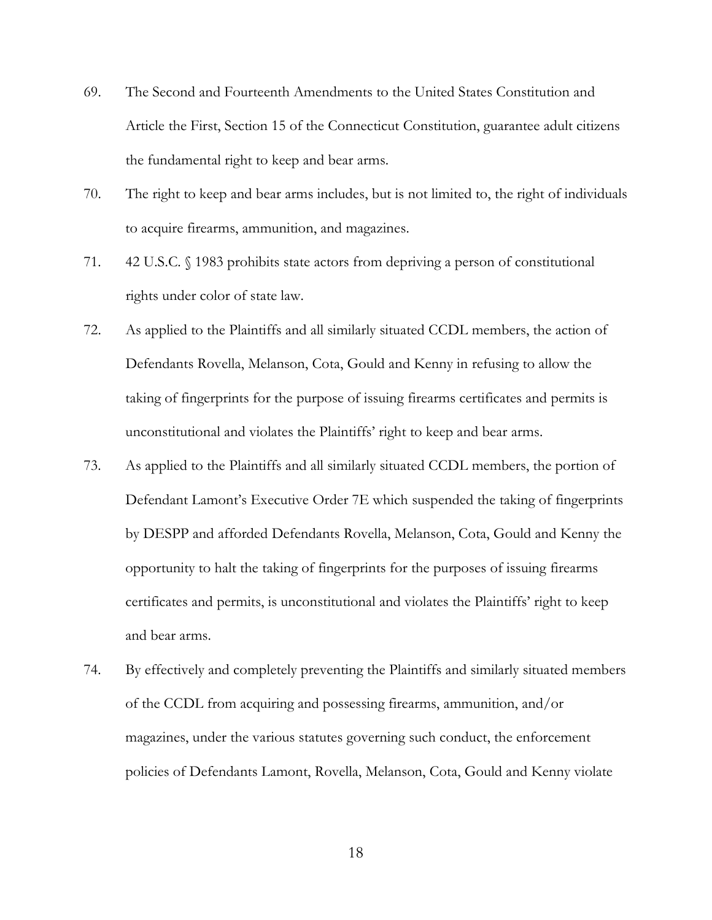- 69. The Second and Fourteenth Amendments to the United States Constitution and Article the First, Section 15 of the Connecticut Constitution, guarantee adult citizens the fundamental right to keep and bear arms.
- 70. The right to keep and bear arms includes, but is not limited to, the right of individuals to acquire firearms, ammunition, and magazines.
- 71. 42 U.S.C. § 1983 prohibits state actors from depriving a person of constitutional rights under color of state law.
- 72. As applied to the Plaintiffs and all similarly situated CCDL members, the action of Defendants Rovella, Melanson, Cota, Gould and Kenny in refusing to allow the taking of fingerprints for the purpose of issuing firearms certificates and permits is unconstitutional and violates the Plaintiffs' right to keep and bear arms.
- 73. As applied to the Plaintiffs and all similarly situated CCDL members, the portion of Defendant Lamont's Executive Order 7E which suspended the taking of fingerprints by DESPP and afforded Defendants Rovella, Melanson, Cota, Gould and Kenny the opportunity to halt the taking of fingerprints for the purposes of issuing firearms certificates and permits, is unconstitutional and violates the Plaintiffs' right to keep and bear arms.
- 74. By effectively and completely preventing the Plaintiffs and similarly situated members of the CCDL from acquiring and possessing firearms, ammunition, and/or magazines, under the various statutes governing such conduct, the enforcement policies of Defendants Lamont, Rovella, Melanson, Cota, Gould and Kenny violate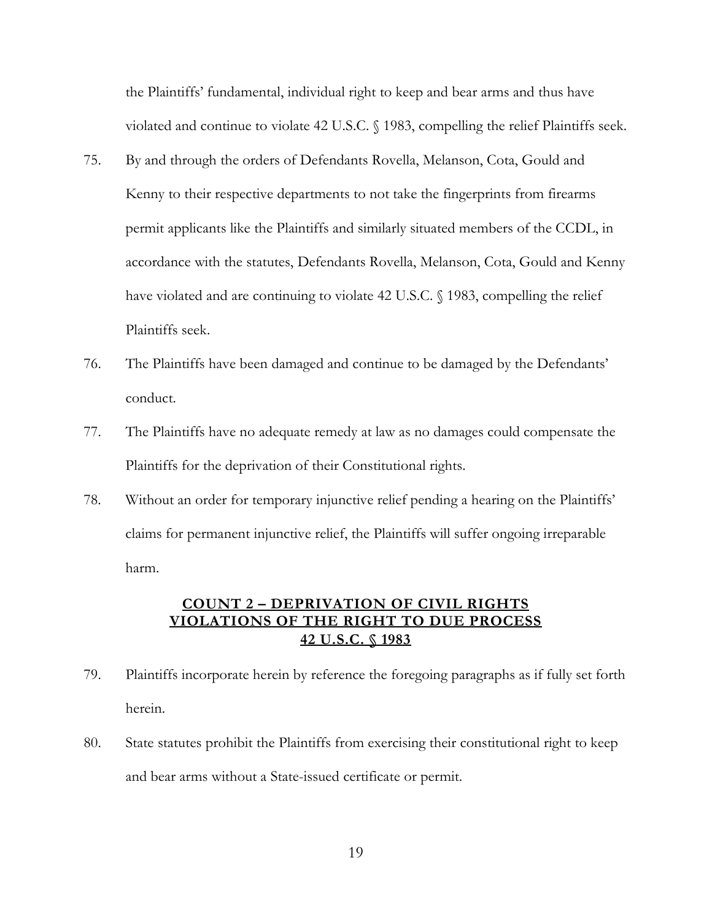the Plaintiffs' fundamental, individual right to keep and bear arms and thus have violated and continue to violate 42 U.S.C. § 1983, compelling the relief Plaintiffs seek.

- 75. By and through the orders of Defendants Rovella, Melanson, Cota, Gould and Kenny to their respective departments to not take the fingerprints from firearms permit applicants like the Plaintiffs and similarly situated members of the CCDL, in accordance with the statutes, Defendants Rovella, Melanson, Cota, Gould and Kenny have violated and are continuing to violate 42 U.S.C. § 1983, compelling the relief Plaintiffs seek.
- 76. The Plaintiffs have been damaged and continue to be damaged by the Defendants' conduct.
- 77. The Plaintiffs have no adequate remedy at law as no damages could compensate the Plaintiffs for the deprivation of their Constitutional rights.
- 78. Without an order for temporary injunctive relief pending a hearing on the Plaintiffs' claims for permanent injunctive relief, the Plaintiffs will suffer ongoing irreparable harm.

### **COUNT 2 – DEPRIVATION OF CIVIL RIGHTS VIOLATIONS OF THE RIGHT TO DUE PROCESS 42 U.S.C. § 1983**

- 79. Plaintiffs incorporate herein by reference the foregoing paragraphs as if fully set forth herein.
- 80. State statutes prohibit the Plaintiffs from exercising their constitutional right to keep and bear arms without a State-issued certificate or permit.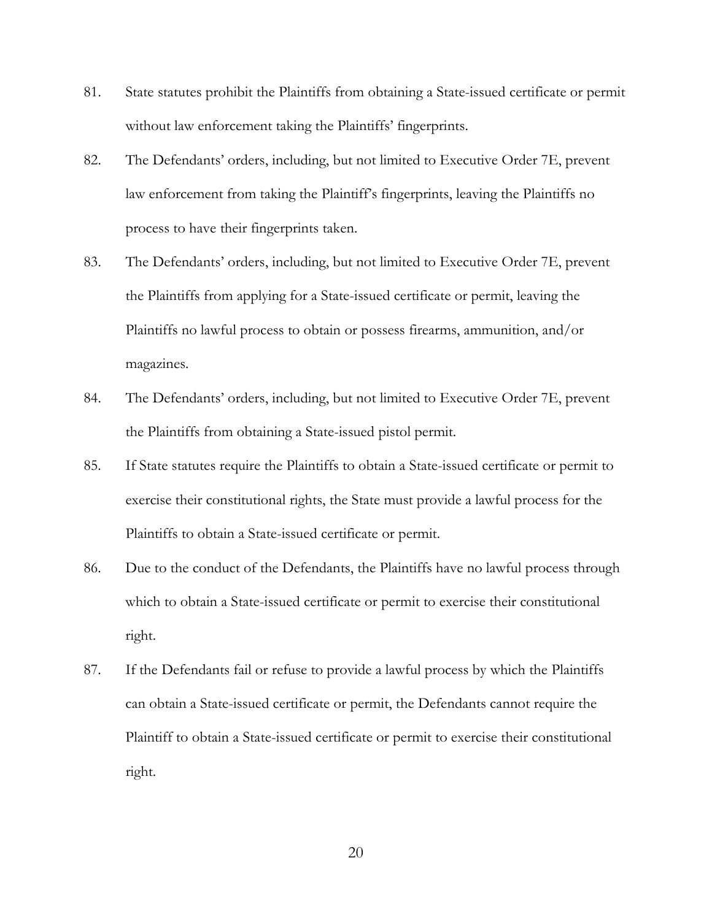- 81. State statutes prohibit the Plaintiffs from obtaining a State-issued certificate or permit without law enforcement taking the Plaintiffs' fingerprints.
- 82. The Defendants' orders, including, but not limited to Executive Order 7E, prevent law enforcement from taking the Plaintiff's fingerprints, leaving the Plaintiffs no process to have their fingerprints taken.
- 83. The Defendants' orders, including, but not limited to Executive Order 7E, prevent the Plaintiffs from applying for a State-issued certificate or permit, leaving the Plaintiffs no lawful process to obtain or possess firearms, ammunition, and/or magazines.
- 84. The Defendants' orders, including, but not limited to Executive Order 7E, prevent the Plaintiffs from obtaining a State-issued pistol permit.
- 85. If State statutes require the Plaintiffs to obtain a State-issued certificate or permit to exercise their constitutional rights, the State must provide a lawful process for the Plaintiffs to obtain a State-issued certificate or permit.
- 86. Due to the conduct of the Defendants, the Plaintiffs have no lawful process through which to obtain a State-issued certificate or permit to exercise their constitutional right.
- 87. If the Defendants fail or refuse to provide a lawful process by which the Plaintiffs can obtain a State-issued certificate or permit, the Defendants cannot require the Plaintiff to obtain a State-issued certificate or permit to exercise their constitutional right.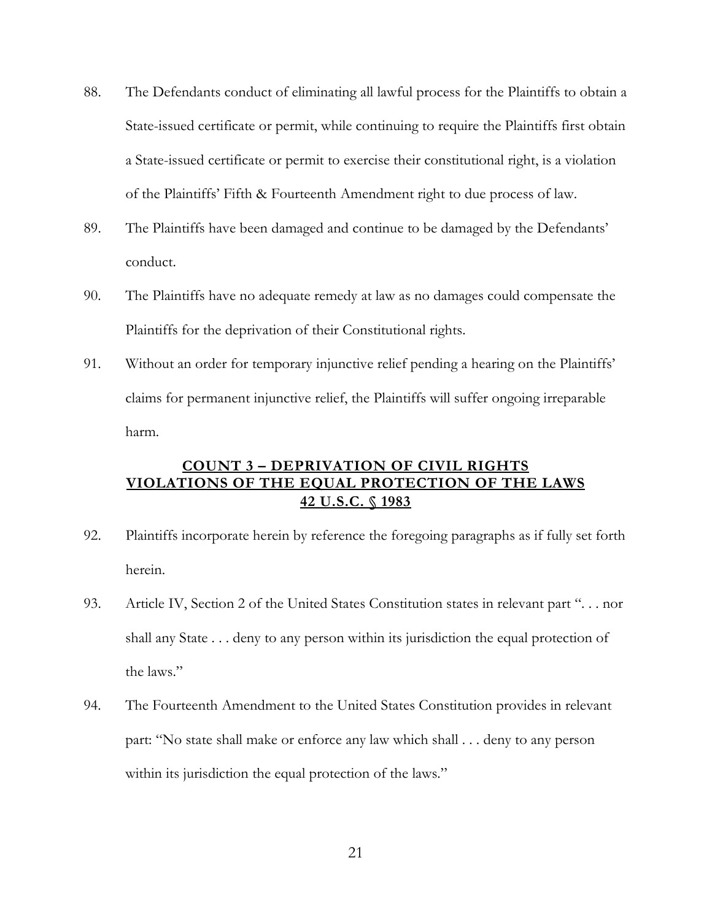- 88. The Defendants conduct of eliminating all lawful process for the Plaintiffs to obtain a State-issued certificate or permit, while continuing to require the Plaintiffs first obtain a State-issued certificate or permit to exercise their constitutional right, is a violation of the Plaintiffs' Fifth & Fourteenth Amendment right to due process of law.
- 89. The Plaintiffs have been damaged and continue to be damaged by the Defendants' conduct.
- 90. The Plaintiffs have no adequate remedy at law as no damages could compensate the Plaintiffs for the deprivation of their Constitutional rights.
- 91. Without an order for temporary injunctive relief pending a hearing on the Plaintiffs' claims for permanent injunctive relief, the Plaintiffs will suffer ongoing irreparable harm.

## **COUNT 3 – DEPRIVATION OF CIVIL RIGHTS VIOLATIONS OF THE EQUAL PROTECTION OF THE LAWS 42 U.S.C. § 1983**

- 92. Plaintiffs incorporate herein by reference the foregoing paragraphs as if fully set forth herein.
- 93. Article IV, Section 2 of the United States Constitution states in relevant part ". . . nor shall any State . . . deny to any person within its jurisdiction the equal protection of the laws."
- 94. The Fourteenth Amendment to the United States Constitution provides in relevant part: "No state shall make or enforce any law which shall . . . deny to any person within its jurisdiction the equal protection of the laws."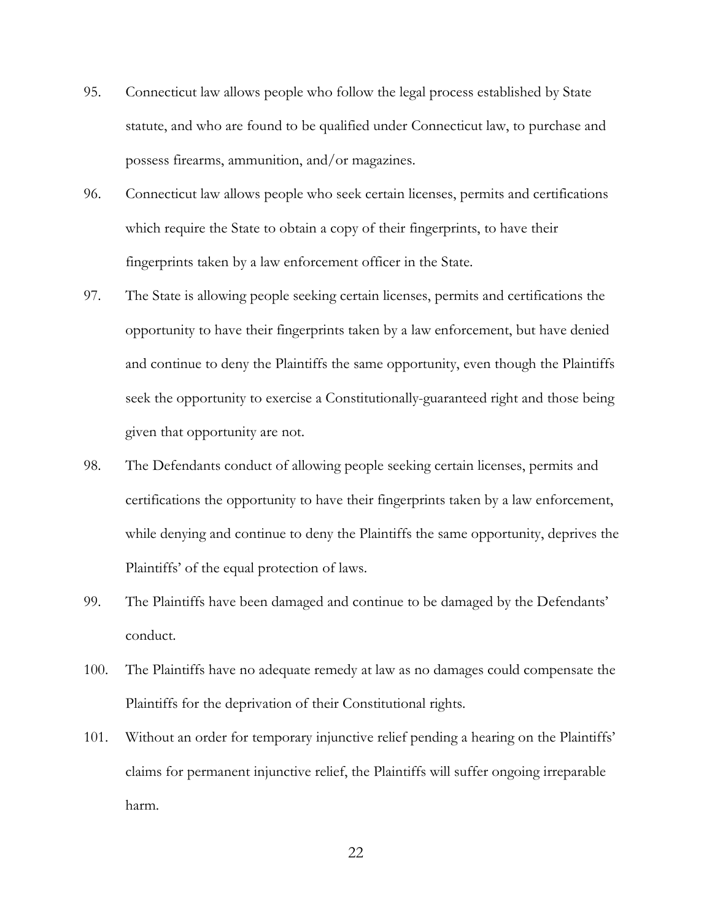- 95. Connecticut law allows people who follow the legal process established by State statute, and who are found to be qualified under Connecticut law, to purchase and possess firearms, ammunition, and/or magazines.
- 96. Connecticut law allows people who seek certain licenses, permits and certifications which require the State to obtain a copy of their fingerprints, to have their fingerprints taken by a law enforcement officer in the State.
- 97. The State is allowing people seeking certain licenses, permits and certifications the opportunity to have their fingerprints taken by a law enforcement, but have denied and continue to deny the Plaintiffs the same opportunity, even though the Plaintiffs seek the opportunity to exercise a Constitutionally-guaranteed right and those being given that opportunity are not.
- 98. The Defendants conduct of allowing people seeking certain licenses, permits and certifications the opportunity to have their fingerprints taken by a law enforcement, while denying and continue to deny the Plaintiffs the same opportunity, deprives the Plaintiffs' of the equal protection of laws.
- 99. The Plaintiffs have been damaged and continue to be damaged by the Defendants' conduct.
- 100. The Plaintiffs have no adequate remedy at law as no damages could compensate the Plaintiffs for the deprivation of their Constitutional rights.
- 101. Without an order for temporary injunctive relief pending a hearing on the Plaintiffs' claims for permanent injunctive relief, the Plaintiffs will suffer ongoing irreparable harm.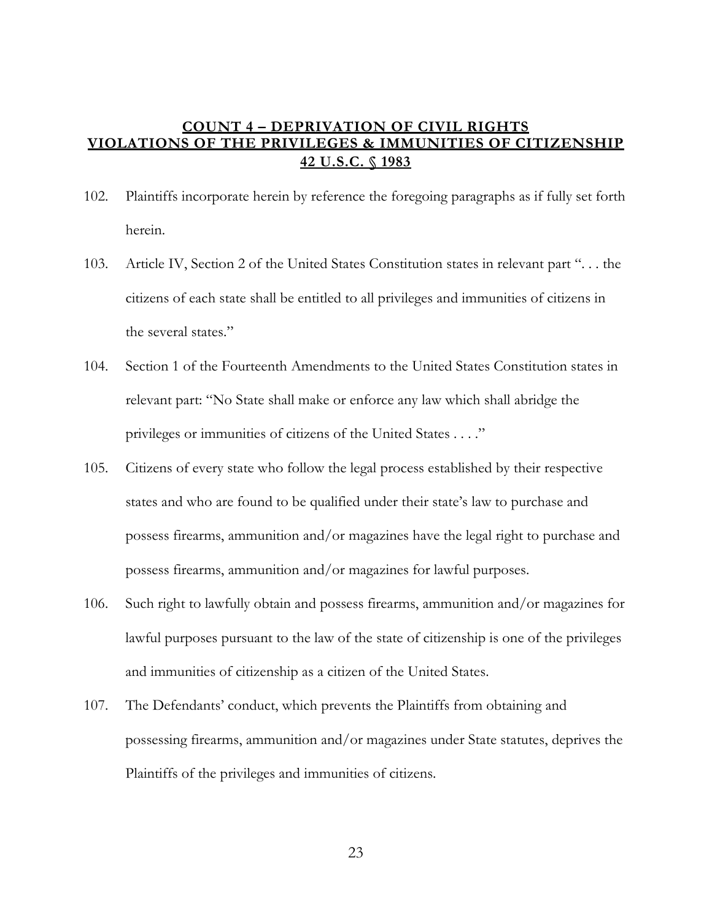### **COUNT 4 – DEPRIVATION OF CIVIL RIGHTS VIOLATIONS OF THE PRIVILEGES & IMMUNITIES OF CITIZENSHIP 42 U.S.C. § 1983**

- 102. Plaintiffs incorporate herein by reference the foregoing paragraphs as if fully set forth herein.
- 103. Article IV, Section 2 of the United States Constitution states in relevant part ". . . the citizens of each state shall be entitled to all privileges and immunities of citizens in the several states."
- 104. Section 1 of the Fourteenth Amendments to the United States Constitution states in relevant part: "No State shall make or enforce any law which shall abridge the privileges or immunities of citizens of the United States . . . ."
- 105. Citizens of every state who follow the legal process established by their respective states and who are found to be qualified under their state's law to purchase and possess firearms, ammunition and/or magazines have the legal right to purchase and possess firearms, ammunition and/or magazines for lawful purposes.
- 106. Such right to lawfully obtain and possess firearms, ammunition and/or magazines for lawful purposes pursuant to the law of the state of citizenship is one of the privileges and immunities of citizenship as a citizen of the United States.
- 107. The Defendants' conduct, which prevents the Plaintiffs from obtaining and possessing firearms, ammunition and/or magazines under State statutes, deprives the Plaintiffs of the privileges and immunities of citizens.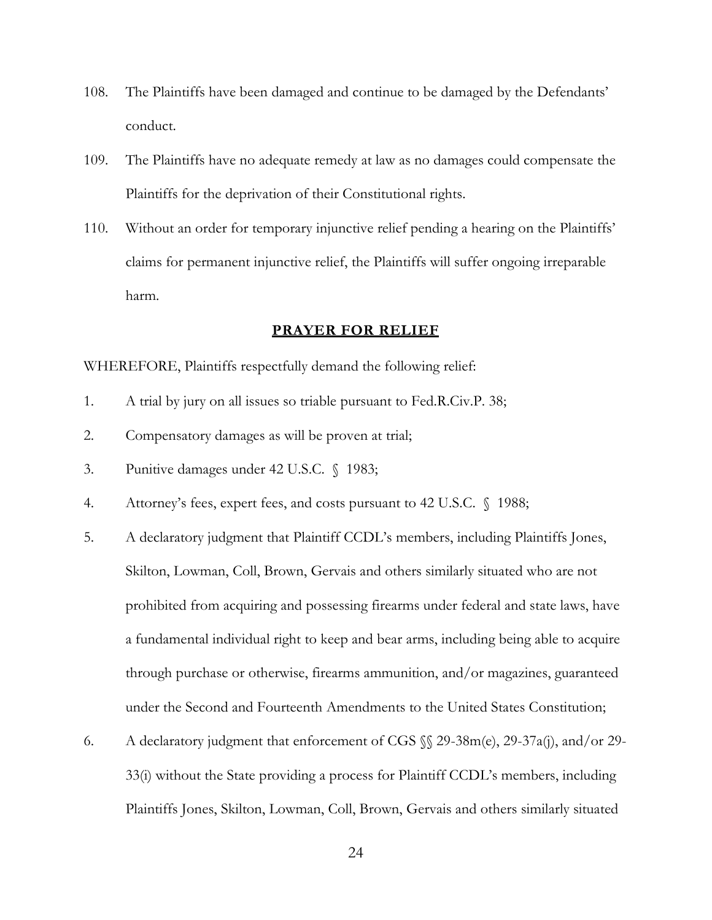- 108. The Plaintiffs have been damaged and continue to be damaged by the Defendants' conduct.
- 109. The Plaintiffs have no adequate remedy at law as no damages could compensate the Plaintiffs for the deprivation of their Constitutional rights.
- 110. Without an order for temporary injunctive relief pending a hearing on the Plaintiffs' claims for permanent injunctive relief, the Plaintiffs will suffer ongoing irreparable harm.

#### **PRAYER FOR RELIEF**

#### WHEREFORE, Plaintiffs respectfully demand the following relief:

- 1. A trial by jury on all issues so triable pursuant to Fed.R.Civ.P. 38;
- 2. Compensatory damages as will be proven at trial;
- 3. Punitive damages under 42 U.S.C. § 1983;
- 4. Attorney's fees, expert fees, and costs pursuant to 42 U.S.C. § 1988;
- 5. A declaratory judgment that Plaintiff CCDL's members, including Plaintiffs Jones, Skilton, Lowman, Coll, Brown, Gervais and others similarly situated who are not prohibited from acquiring and possessing firearms under federal and state laws, have a fundamental individual right to keep and bear arms, including being able to acquire through purchase or otherwise, firearms ammunition, and/or magazines, guaranteed under the Second and Fourteenth Amendments to the United States Constitution;
- 6. A declaratory judgment that enforcement of CGS §§ 29-38m(e), 29-37a(j), and/or 29- 33(i) without the State providing a process for Plaintiff CCDL's members, including Plaintiffs Jones, Skilton, Lowman, Coll, Brown, Gervais and others similarly situated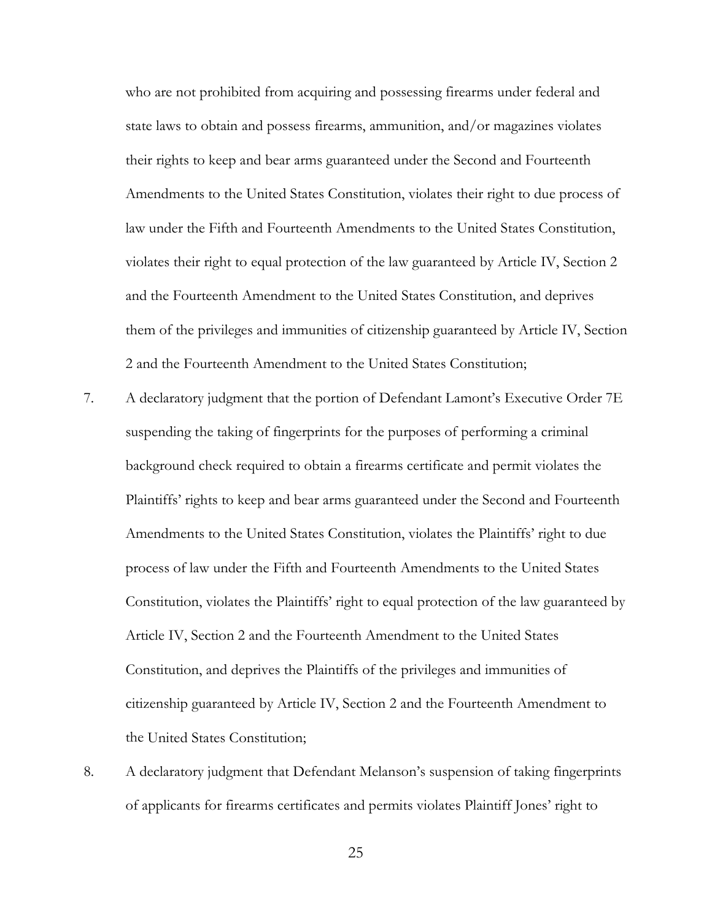who are not prohibited from acquiring and possessing firearms under federal and state laws to obtain and possess firearms, ammunition, and/or magazines violates their rights to keep and bear arms guaranteed under the Second and Fourteenth Amendments to the United States Constitution, violates their right to due process of law under the Fifth and Fourteenth Amendments to the United States Constitution, violates their right to equal protection of the law guaranteed by Article IV, Section 2 and the Fourteenth Amendment to the United States Constitution, and deprives them of the privileges and immunities of citizenship guaranteed by Article IV, Section 2 and the Fourteenth Amendment to the United States Constitution;

- 7. A declaratory judgment that the portion of Defendant Lamont's Executive Order 7E suspending the taking of fingerprints for the purposes of performing a criminal background check required to obtain a firearms certificate and permit violates the Plaintiffs' rights to keep and bear arms guaranteed under the Second and Fourteenth Amendments to the United States Constitution, violates the Plaintiffs' right to due process of law under the Fifth and Fourteenth Amendments to the United States Constitution, violates the Plaintiffs' right to equal protection of the law guaranteed by Article IV, Section 2 and the Fourteenth Amendment to the United States Constitution, and deprives the Plaintiffs of the privileges and immunities of citizenship guaranteed by Article IV, Section 2 and the Fourteenth Amendment to the United States Constitution;
- 8. A declaratory judgment that Defendant Melanson's suspension of taking fingerprints of applicants for firearms certificates and permits violates Plaintiff Jones' right to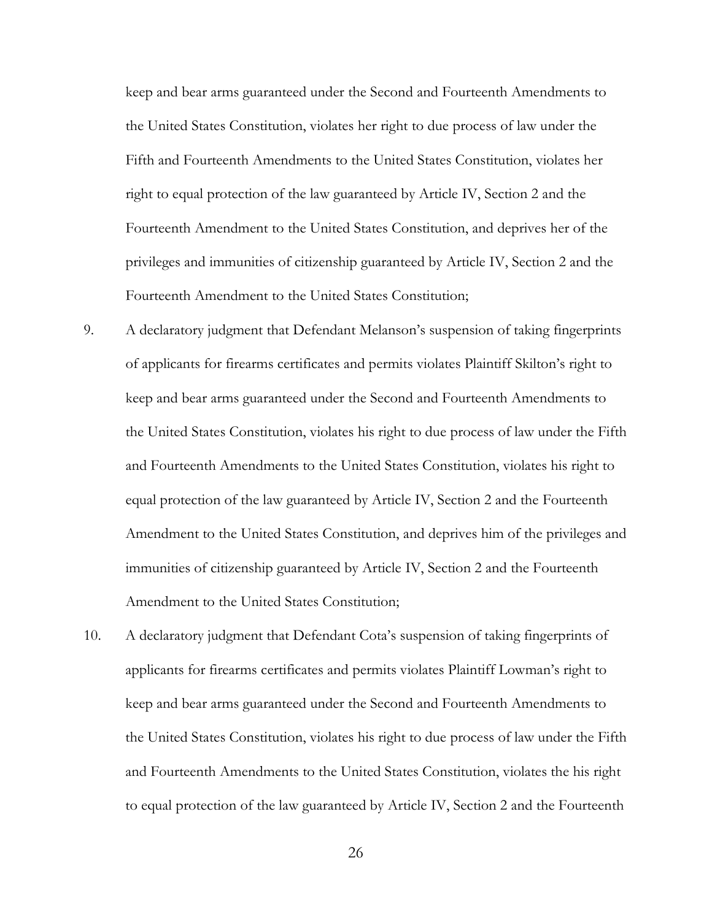keep and bear arms guaranteed under the Second and Fourteenth Amendments to the United States Constitution, violates her right to due process of law under the Fifth and Fourteenth Amendments to the United States Constitution, violates her right to equal protection of the law guaranteed by Article IV, Section 2 and the Fourteenth Amendment to the United States Constitution, and deprives her of the privileges and immunities of citizenship guaranteed by Article IV, Section 2 and the Fourteenth Amendment to the United States Constitution;

- 9. A declaratory judgment that Defendant Melanson's suspension of taking fingerprints of applicants for firearms certificates and permits violates Plaintiff Skilton's right to keep and bear arms guaranteed under the Second and Fourteenth Amendments to the United States Constitution, violates his right to due process of law under the Fifth and Fourteenth Amendments to the United States Constitution, violates his right to equal protection of the law guaranteed by Article IV, Section 2 and the Fourteenth Amendment to the United States Constitution, and deprives him of the privileges and immunities of citizenship guaranteed by Article IV, Section 2 and the Fourteenth Amendment to the United States Constitution;
- 10. A declaratory judgment that Defendant Cota's suspension of taking fingerprints of applicants for firearms certificates and permits violates Plaintiff Lowman's right to keep and bear arms guaranteed under the Second and Fourteenth Amendments to the United States Constitution, violates his right to due process of law under the Fifth and Fourteenth Amendments to the United States Constitution, violates the his right to equal protection of the law guaranteed by Article IV, Section 2 and the Fourteenth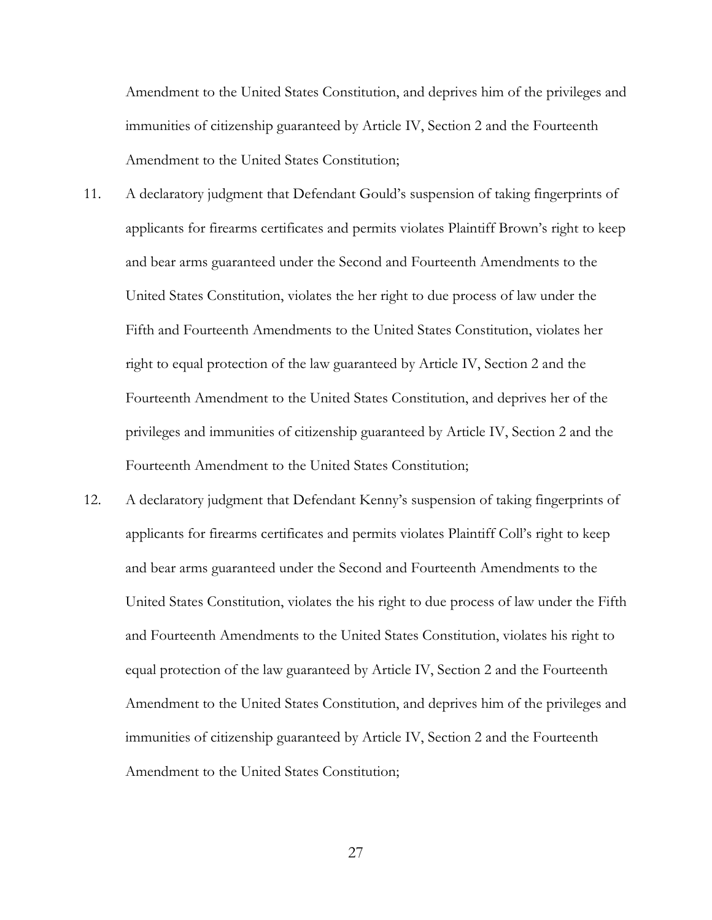Amendment to the United States Constitution, and deprives him of the privileges and immunities of citizenship guaranteed by Article IV, Section 2 and the Fourteenth Amendment to the United States Constitution;

- 11. A declaratory judgment that Defendant Gould's suspension of taking fingerprints of applicants for firearms certificates and permits violates Plaintiff Brown's right to keep and bear arms guaranteed under the Second and Fourteenth Amendments to the United States Constitution, violates the her right to due process of law under the Fifth and Fourteenth Amendments to the United States Constitution, violates her right to equal protection of the law guaranteed by Article IV, Section 2 and the Fourteenth Amendment to the United States Constitution, and deprives her of the privileges and immunities of citizenship guaranteed by Article IV, Section 2 and the Fourteenth Amendment to the United States Constitution;
- 12. A declaratory judgment that Defendant Kenny's suspension of taking fingerprints of applicants for firearms certificates and permits violates Plaintiff Coll's right to keep and bear arms guaranteed under the Second and Fourteenth Amendments to the United States Constitution, violates the his right to due process of law under the Fifth and Fourteenth Amendments to the United States Constitution, violates his right to equal protection of the law guaranteed by Article IV, Section 2 and the Fourteenth Amendment to the United States Constitution, and deprives him of the privileges and immunities of citizenship guaranteed by Article IV, Section 2 and the Fourteenth Amendment to the United States Constitution;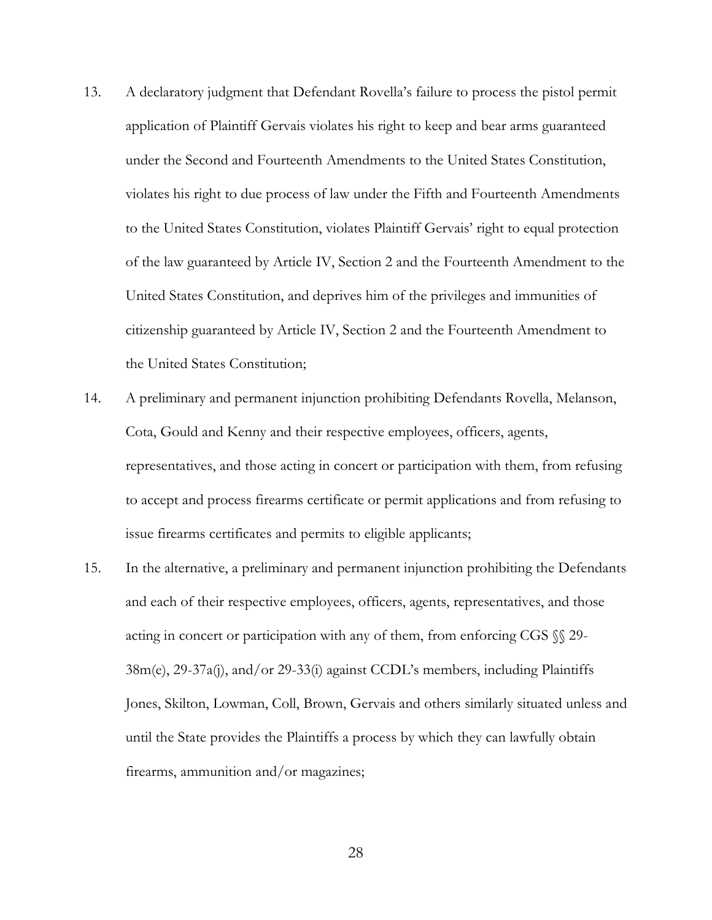- 13. A declaratory judgment that Defendant Rovella's failure to process the pistol permit application of Plaintiff Gervais violates his right to keep and bear arms guaranteed under the Second and Fourteenth Amendments to the United States Constitution, violates his right to due process of law under the Fifth and Fourteenth Amendments to the United States Constitution, violates Plaintiff Gervais' right to equal protection of the law guaranteed by Article IV, Section 2 and the Fourteenth Amendment to the United States Constitution, and deprives him of the privileges and immunities of citizenship guaranteed by Article IV, Section 2 and the Fourteenth Amendment to the United States Constitution;
- 14. A preliminary and permanent injunction prohibiting Defendants Rovella, Melanson, Cota, Gould and Kenny and their respective employees, officers, agents, representatives, and those acting in concert or participation with them, from refusing to accept and process firearms certificate or permit applications and from refusing to issue firearms certificates and permits to eligible applicants;
- 15. In the alternative, a preliminary and permanent injunction prohibiting the Defendants and each of their respective employees, officers, agents, representatives, and those acting in concert or participation with any of them, from enforcing CGS §§ 29- 38m(e), 29-37a(j), and/or 29-33(i) against CCDL's members, including Plaintiffs Jones, Skilton, Lowman, Coll, Brown, Gervais and others similarly situated unless and until the State provides the Plaintiffs a process by which they can lawfully obtain firearms, ammunition and/or magazines;